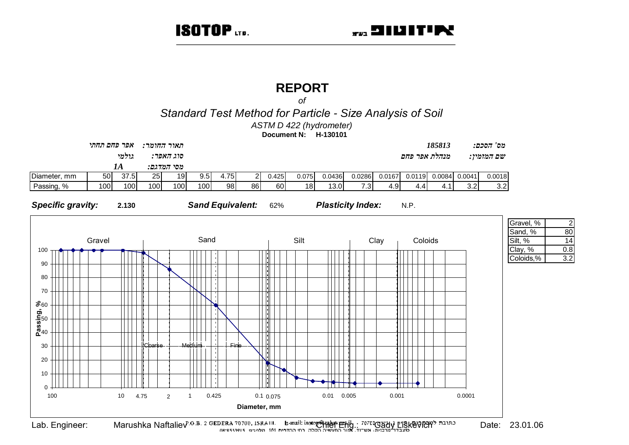# **REPORT**

 $\Omega$ 

Standard Test Method for Particle - Size Analysis of Soil

ASTM D 422 (hydrometer)

Document N: H-130101



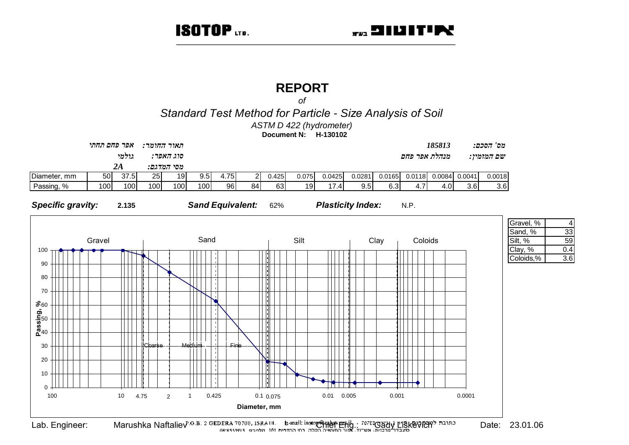# **REPORT**

 $\Omega$ 

Standard Test Method for Particle - Size Analysis of Soil

ASTM D 422 (hydrometer)

Document N: H-130102





Eligkevichta Naftaliev<sup>P.O.B.</sup> 2 GEDERA 70700, ISRAEL L. Banail: isotoper App Phil . 7070 Oady LISKEVICHT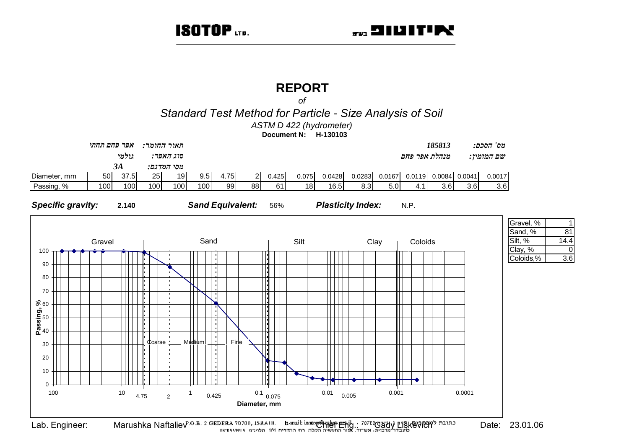# **REPORT**

 $\Omega$ 

Standard Test Method for Particle - Size Analysis of Soil

ASTM D 422 (hydrometer)

Document N: H-130103



 $81$  $14.4$  $\Omega$  $\overline{3.6}$ 

Lab. Engineer:

Eligkevichta Naftaliev<sup>P.O.B.</sup> 2 GEDERA 70700, ISRAEL L. Banail: isotoper App Phil . 7070 Oady LISKEVICHT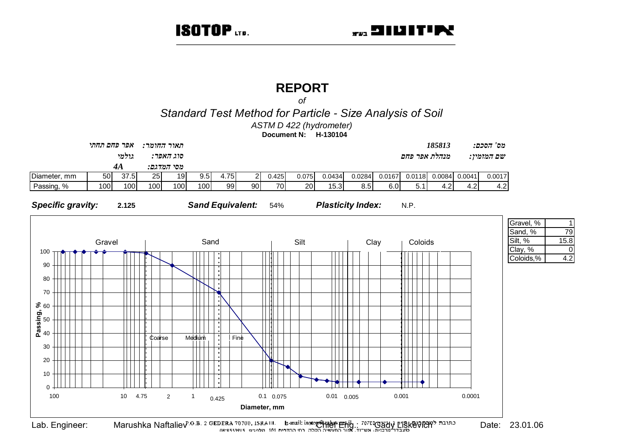## **REPORT**

 $\Omega$ 

Standard Test Method for Particle - Size Analysis of Soil

ASTM D 422 (hydrometer)

Document N: H-130104



79

 $\Omega$ 

 $15.8$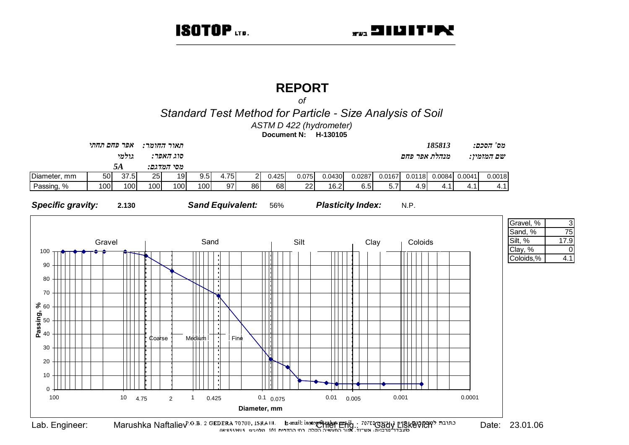3 75

 $\Omega$ 

 $4.1$ 

17.9

## **REPORT**

 $\Omega$ 

Standard Test Method for Particle - Size Analysis of Soil

ASTM D 422 (hydrometer)

Document N: H-130105

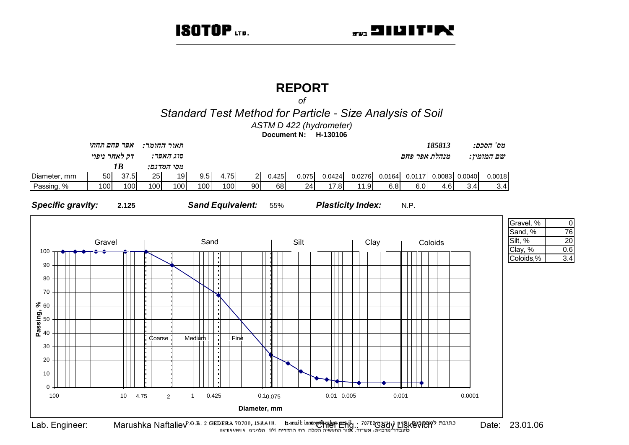# **REPORT**

 $\Omega$ 

Standard Test Method for Particle - Size Analysis of Soil

ASTM D 422 (hydrometer)

Document N: H-130106



 $\Omega$ 

76

20

 $0.6$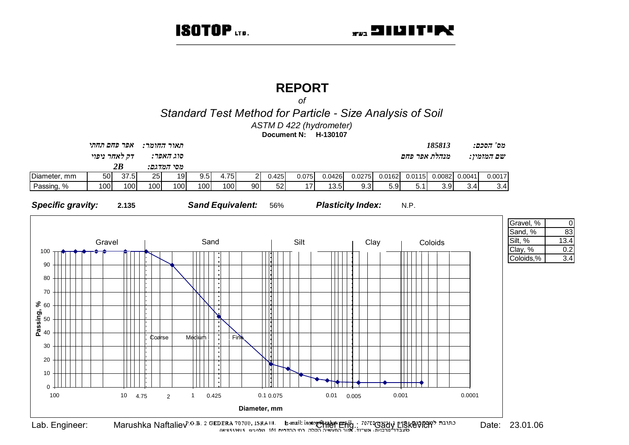## **REPORT**

 $\Omega$ 

Standard Test Method for Particle - Size Analysis of Soil

ASTM D 422 (hydrometer)

Document N: H-130107



 $\Omega$ 83  $13.4$  $0.2$  $3.4$ 

Eligkevichta Naftaliev<sup>P.O.B.</sup> 2 GEDERA 70700, ISRAEL L. Banail: isotoper App Phil . 7070 Oady LISKEVICHT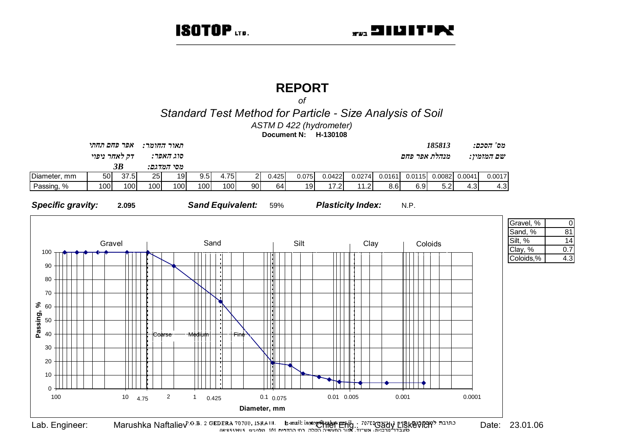$\Omega$ 

81

 $\overline{14}$ 

 $0.7$ 

 $4.3$ 

## **REPORT**

 $\Omega$ 

Standard Test Method for Particle - Size Analysis of Soil

ASTM D 422 (hydrometer)

Document N: H-130108

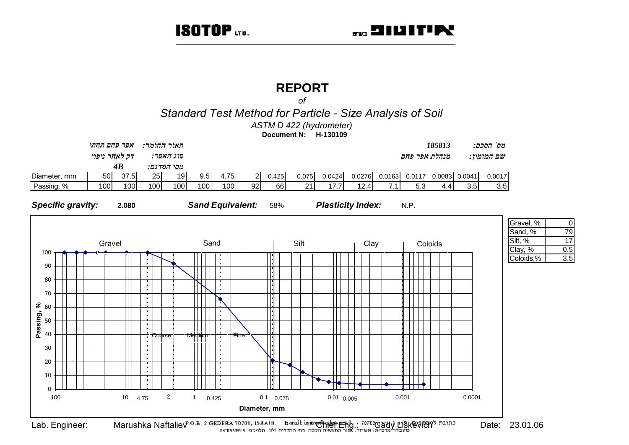## **REPORT**

 $\Omega$ 

Standard Test Method for Particle - Size Analysis of Soil

ASTM D 422 (hydrometer)

Document N: H-130109



Date: 23.01.06

 $\Omega$ 

79

 $17$ 

 $0.5$ 

 $\overline{3.5}$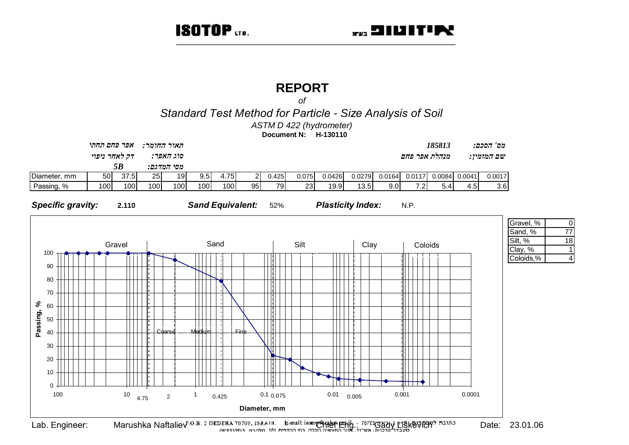# **REPORT**

 $\Omega$ 

Standard Test Method for Particle - Size Analysis of Soil

ASTM D 422 (hydrometer)

Document N: H-130110



Date: 23.01.06

 $\Omega$ 

 $\overline{77}$ 

 $\overline{18}$ 

 $\Delta$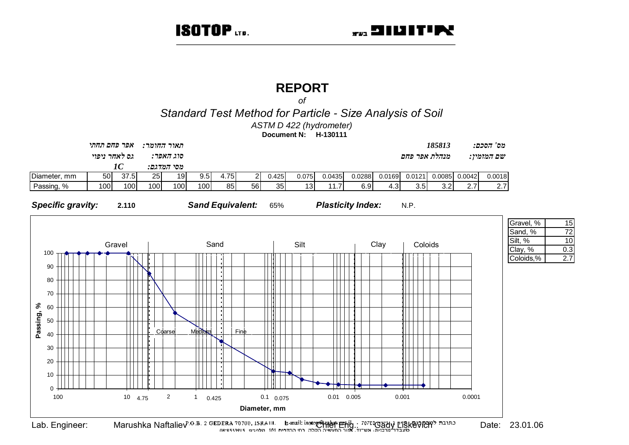## **REPORT**

 $\Omega$ 

Standard Test Method for Particle - Size Analysis of Soil

ASTM D 422 (hydrometer)

Document N: H-130111



Date: 23.01.06

15  $\overline{72}$ 

 $10$ 

 $0.3$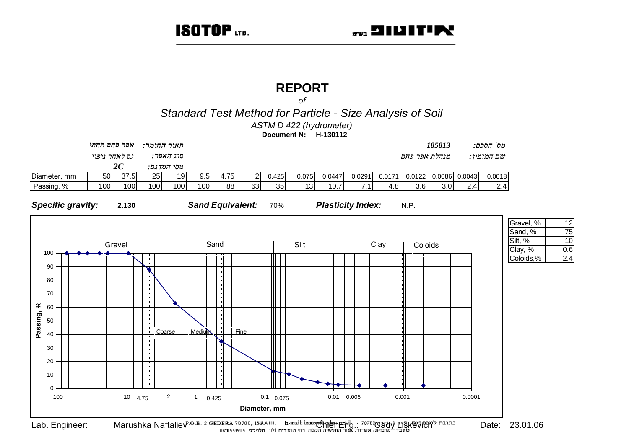## **REPORT**

 $\Omega$ 

Standard Test Method for Particle - Size Analysis of Soil

ASTM D 422 (hydrometer)

Document N: H-130112



 $12$  $\overline{75}$  $10$  $0.6$  $2.4$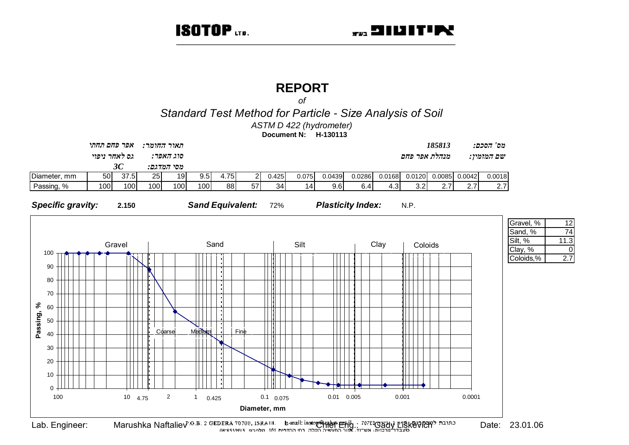$12$ 74

 $\Omega$ 

 $2.7$ 

## **REPORT**

 $\Omega$ 

Standard Test Method for Particle - Size Analysis of Soil

ASTM D 422 (hydrometer)

Document N: H-130113

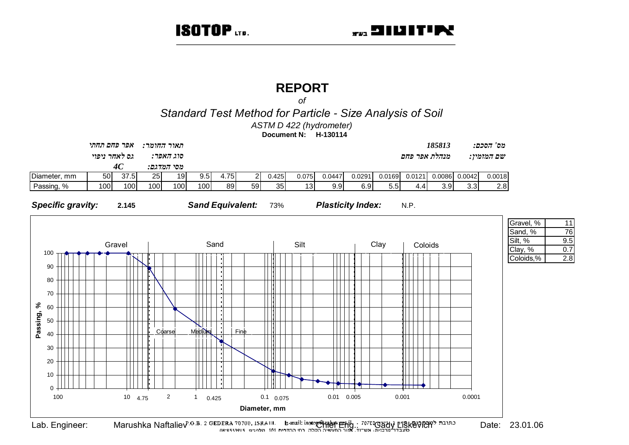## **REPORT**

 $\Omega$ 

Standard Test Method for Particle - Size Analysis of Soil

ASTM D 422 (hydrometer)

Document N: H-130114



Date: 23.01.06

 $11$ 

76

 $9.5$ 

 $0.7$